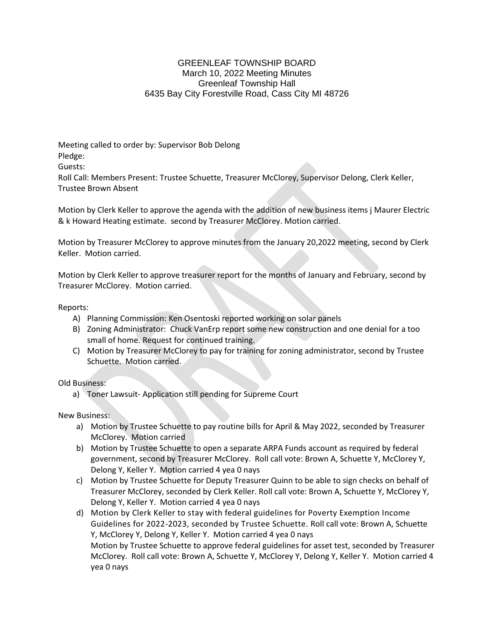## GREENLEAF TOWNSHIP BOARD March 10, 2022 Meeting Minutes Greenleaf Township Hall 6435 Bay City Forestville Road, Cass City MI 48726

Meeting called to order by: Supervisor Bob Delong Pledge:

Guests:

Roll Call: Members Present: Trustee Schuette, Treasurer McClorey, Supervisor Delong, Clerk Keller, Trustee Brown Absent

Motion by Clerk Keller to approve the agenda with the addition of new business items j Maurer Electric & k Howard Heating estimate. second by Treasurer McClorey. Motion carried.

Motion by Treasurer McClorey to approve minutes from the January 20,2022 meeting, second by Clerk Keller. Motion carried.

Motion by Clerk Keller to approve treasurer report for the months of January and February, second by Treasurer McClorey. Motion carried.

Reports:

- A) Planning Commission: Ken Osentoski reported working on solar panels
- B) Zoning Administrator: Chuck VanErp report some new construction and one denial for a too small of home. Request for continued training.
- C) Motion by Treasurer McClorey to pay for training for zoning administrator, second by Trustee Schuette. Motion carried.

Old Business:

a) Toner Lawsuit- Application still pending for Supreme Court

New Business:

- a) Motion by Trustee Schuette to pay routine bills for April & May 2022, seconded by Treasurer McClorey. Motion carried
- b) Motion by Trustee Schuette to open a separate ARPA Funds account as required by federal government, second by Treasurer McClorey. Roll call vote: Brown A, Schuette Y, McClorey Y, Delong Y, Keller Y. Motion carried 4 yea 0 nays
- c) Motion by Trustee Schuette for Deputy Treasurer Quinn to be able to sign checks on behalf of Treasurer McClorey, seconded by Clerk Keller. Roll call vote: Brown A, Schuette Y, McClorey Y, Delong Y, Keller Y. Motion carried 4 yea 0 nays
- d) Motion by Clerk Keller to stay with federal guidelines for Poverty Exemption Income Guidelines for 2022-2023, seconded by Trustee Schuette. Roll call vote: Brown A, Schuette Y, McClorey Y, Delong Y, Keller Y. Motion carried 4 yea 0 nays Motion by Trustee Schuette to approve federal guidelines for asset test, seconded by Treasurer McClorey. Roll call vote: Brown A, Schuette Y, McClorey Y, Delong Y, Keller Y. Motion carried 4 yea 0 nays